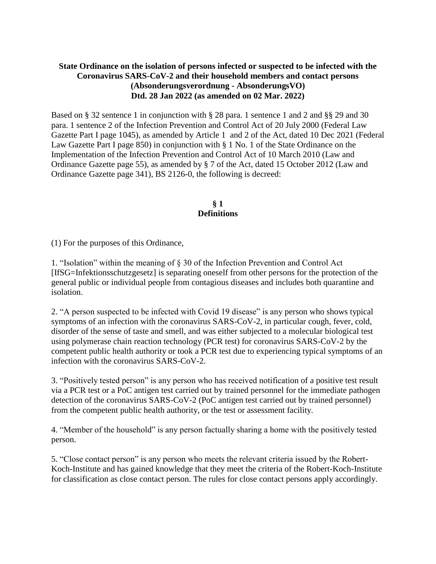## **State Ordinance on the isolation of persons infected or suspected to be infected with the Coronavirus SARS-CoV-2 and their household members and contact persons (Absonderungsverordnung - AbsonderungsVO) Dtd. 28 Jan 2022 (as amended on 02 Mar. 2022)**

Based on § 32 sentence 1 in conjunction with § 28 para. 1 sentence 1 and 2 and §§ 29 and 30 para. 1 sentence 2 of the Infection Prevention and Control Act of 20 July 2000 (Federal Law Gazette Part I page 1045), as amended by Article 1 and 2 of the Act, dated 10 Dec 2021 (Federal Law Gazette Part I page 850) in conjunction with § 1 No. 1 of the State Ordinance on the Implementation of the Infection Prevention and Control Act of 10 March 2010 (Law and Ordinance Gazette page 55), as amended by § 7 of the Act, dated 15 October 2012 (Law and Ordinance Gazette page 341), BS 2126-0, the following is decreed:

### **§ 1 Definitions**

(1) For the purposes of this Ordinance,

1. "Isolation" within the meaning of § 30 of the Infection Prevention and Control Act [IfSG=Infektionsschutzgesetz] is separating oneself from other persons for the protection of the general public or individual people from contagious diseases and includes both quarantine and isolation.

2. "A person suspected to be infected with Covid 19 disease" is any person who shows typical symptoms of an infection with the coronavirus SARS-CoV-2, in particular cough, fever, cold, disorder of the sense of taste and smell, and was either subjected to a molecular biological test using polymerase chain reaction technology (PCR test) for coronavirus SARS-CoV-2 by the competent public health authority or took a PCR test due to experiencing typical symptoms of an infection with the coronavirus SARS-CoV-2.

3. "Positively tested person" is any person who has received notification of a positive test result via a PCR test or a PoC antigen test carried out by trained personnel for the immediate pathogen detection of the coronavirus SARS-CoV-2 (PoC antigen test carried out by trained personnel) from the competent public health authority, or the test or assessment facility.

4. "Member of the household" is any person factually sharing a home with the positively tested person.

5. "Close contact person" is any person who meets the relevant criteria issued by the Robert-Koch-Institute and has gained knowledge that they meet the criteria of the Robert-Koch-Institute for classification as close contact person. The rules for close contact persons apply accordingly.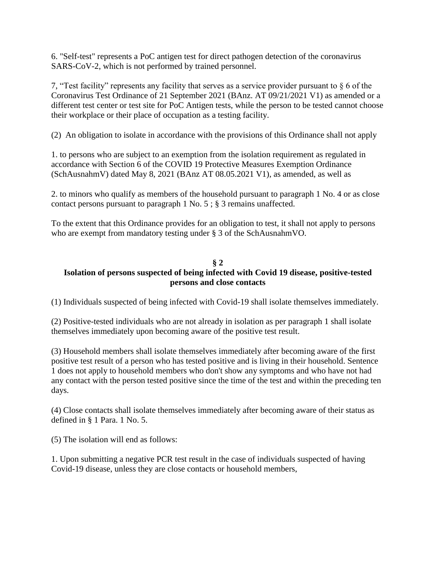6. "Self-test" represents a PoC antigen test for direct pathogen detection of the coronavirus SARS-CoV-2, which is not performed by trained personnel.

7, "Test facility" represents any facility that serves as a service provider pursuant to § 6 of the Coronavirus Test Ordinance of 21 September 2021 (BAnz. AT 09/21/2021 V1) as amended or a different test center or test site for PoC Antigen tests, while the person to be tested cannot choose their workplace or their place of occupation as a testing facility.

(2) An obligation to isolate in accordance with the provisions of this Ordinance shall not apply

1. to persons who are subject to an exemption from the isolation requirement as regulated in accordance with Section 6 of the COVID 19 Protective Measures Exemption Ordinance (SchAusnahmV) dated May 8, 2021 (BAnz AT 08.05.2021 V1), as amended, as well as

2. to minors who qualify as members of the household pursuant to paragraph 1 No. 4 or as close contact persons pursuant to paragraph 1 No. 5 ; § 3 remains unaffected.

To the extent that this Ordinance provides for an obligation to test, it shall not apply to persons who are exempt from mandatory testing under § 3 of the SchAusnahmVO.

## **§ 2**

# **Isolation of persons suspected of being infected with Covid 19 disease, positive-tested persons and close contacts**

(1) Individuals suspected of being infected with Covid-19 shall isolate themselves immediately.

(2) Positive-tested individuals who are not already in isolation as per paragraph 1 shall isolate themselves immediately upon becoming aware of the positive test result.

(3) Household members shall isolate themselves immediately after becoming aware of the first positive test result of a person who has tested positive and is living in their household. Sentence 1 does not apply to household members who don't show any symptoms and who have not had any contact with the person tested positive since the time of the test and within the preceding ten days.

(4) Close contacts shall isolate themselves immediately after becoming aware of their status as defined in § 1 Para. 1 No. 5.

(5) The isolation will end as follows:

1. Upon submitting a negative PCR test result in the case of individuals suspected of having Covid-19 disease, unless they are close contacts or household members,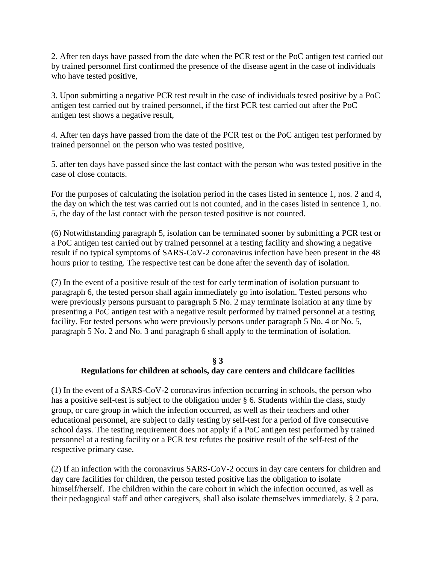2. After ten days have passed from the date when the PCR test or the PoC antigen test carried out by trained personnel first confirmed the presence of the disease agent in the case of individuals who have tested positive,

3. Upon submitting a negative PCR test result in the case of individuals tested positive by a PoC antigen test carried out by trained personnel, if the first PCR test carried out after the PoC antigen test shows a negative result,

4. After ten days have passed from the date of the PCR test or the PoC antigen test performed by trained personnel on the person who was tested positive,

5. after ten days have passed since the last contact with the person who was tested positive in the case of close contacts.

For the purposes of calculating the isolation period in the cases listed in sentence 1, nos. 2 and 4, the day on which the test was carried out is not counted, and in the cases listed in sentence 1, no. 5, the day of the last contact with the person tested positive is not counted.

(6) Notwithstanding paragraph 5, isolation can be terminated sooner by submitting a PCR test or a PoC antigen test carried out by trained personnel at a testing facility and showing a negative result if no typical symptoms of SARS-CoV-2 coronavirus infection have been present in the 48 hours prior to testing. The respective test can be done after the seventh day of isolation.

(7) In the event of a positive result of the test for early termination of isolation pursuant to paragraph 6, the tested person shall again immediately go into isolation. Tested persons who were previously persons pursuant to paragraph 5 No. 2 may terminate isolation at any time by presenting a PoC antigen test with a negative result performed by trained personnel at a testing facility. For tested persons who were previously persons under paragraph 5 No. 4 or No. 5, paragraph 5 No. 2 and No. 3 and paragraph 6 shall apply to the termination of isolation.

### **§ 3**

## **Regulations for children at schools, day care centers and childcare facilities**

(1) In the event of a SARS-CoV-2 coronavirus infection occurring in schools, the person who has a positive self-test is subject to the obligation under § 6. Students within the class, study group, or care group in which the infection occurred, as well as their teachers and other educational personnel, are subject to daily testing by self-test for a period of five consecutive school days. The testing requirement does not apply if a PoC antigen test performed by trained personnel at a testing facility or a PCR test refutes the positive result of the self-test of the respective primary case.

(2) If an infection with the coronavirus SARS-CoV-2 occurs in day care centers for children and day care facilities for children, the person tested positive has the obligation to isolate himself/herself. The children within the care cohort in which the infection occurred, as well as their pedagogical staff and other caregivers, shall also isolate themselves immediately. § 2 para.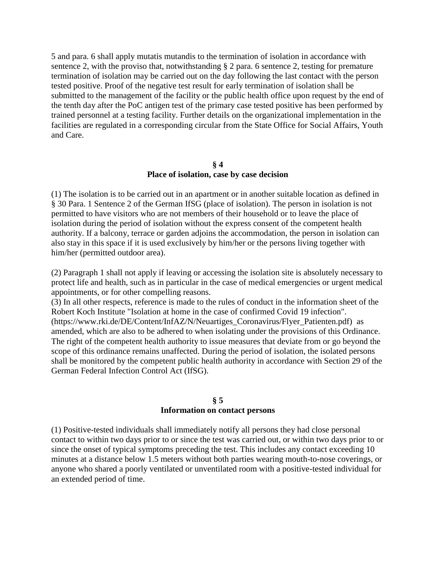5 and para. 6 shall apply mutatis mutandis to the termination of isolation in accordance with sentence 2, with the proviso that, notwithstanding § 2 para. 6 sentence 2, testing for premature termination of isolation may be carried out on the day following the last contact with the person tested positive. Proof of the negative test result for early termination of isolation shall be submitted to the management of the facility or the public health office upon request by the end of the tenth day after the PoC antigen test of the primary case tested positive has been performed by trained personnel at a testing facility. Further details on the organizational implementation in the facilities are regulated in a corresponding circular from the State Office for Social Affairs, Youth and Care.

#### **§ 4 Place of isolation, case by case decision**

(1) The isolation is to be carried out in an apartment or in another suitable location as defined in § 30 Para. 1 Sentence 2 of the German IfSG (place of isolation). The person in isolation is not permitted to have visitors who are not members of their household or to leave the place of isolation during the period of isolation without the express consent of the competent health authority. If a balcony, terrace or garden adjoins the accommodation, the person in isolation can also stay in this space if it is used exclusively by him/her or the persons living together with him/her (permitted outdoor area).

(2) Paragraph 1 shall not apply if leaving or accessing the isolation site is absolutely necessary to protect life and health, such as in particular in the case of medical emergencies or urgent medical appointments, or for other compelling reasons.

(3) In all other respects, reference is made to the rules of conduct in the information sheet of the Robert Koch Institute "Isolation at home in the case of confirmed Covid 19 infection". (https:[//www.rki.de/DE/Content/InfAZ/N/Neuartiges\\_Coronavirus/Flyer\\_Patienten.pdf\)](http://www.rki.de/DE/Content/InfAZ/N/Neuartiges_Coronavirus/Flyer_Patienten.pdf)) as amended, which are also to be adhered to when isolating under the provisions of this Ordinance. The right of the competent health authority to issue measures that deviate from or go beyond the scope of this ordinance remains unaffected. During the period of isolation, the isolated persons shall be monitored by the competent public health authority in accordance with Section 29 of the German Federal Infection Control Act (IfSG).

### **§ 5 Information on contact persons**

(1) Positive-tested individuals shall immediately notify all persons they had close personal contact to within two days prior to or since the test was carried out, or within two days prior to or since the onset of typical symptoms preceding the test. This includes any contact exceeding 10 minutes at a distance below 1.5 meters without both parties wearing mouth-to-nose coverings, or anyone who shared a poorly ventilated or unventilated room with a positive-tested individual for an extended period of time.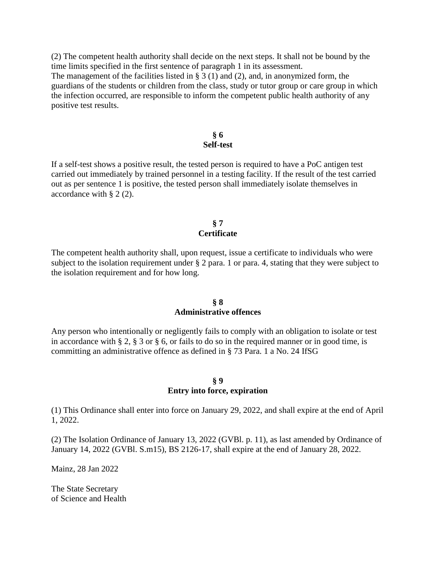(2) The competent health authority shall decide on the next steps. It shall not be bound by the time limits specified in the first sentence of paragraph 1 in its assessment.

The management of the facilities listed in  $\S 3(1)$  and (2), and, in anonymized form, the guardians of the students or children from the class, study or tutor group or care group in which the infection occurred, are responsible to inform the competent public health authority of any positive test results.

### **§ 6 Self-test**

If a self-test shows a positive result, the tested person is required to have a PoC antigen test carried out immediately by trained personnel in a testing facility. If the result of the test carried out as per sentence 1 is positive, the tested person shall immediately isolate themselves in accordance with § 2 (2).

#### **§ 7 Certificate**

The competent health authority shall, upon request, issue a certificate to individuals who were subject to the isolation requirement under § 2 para. 1 or para. 4, stating that they were subject to the isolation requirement and for how long.

#### **§ 8 Administrative offences**

Any person who intentionally or negligently fails to comply with an obligation to isolate or test in accordance with § 2, § 3 or § 6, or fails to do so in the required manner or in good time, is committing an administrative offence as defined in § 73 Para. 1 a No. 24 IfSG

### **§ 9**

#### **Entry into force, expiration**

(1) This Ordinance shall enter into force on January 29, 2022, and shall expire at the end of April 1, 2022.

(2) The Isolation Ordinance of January 13, 2022 (GVBl. p. 11), as last amended by Ordinance of January 14, 2022 (GVBl. S.m15), BS 2126-17, shall expire at the end of January 28, 2022.

Mainz, 28 Jan 2022

The State Secretary of Science and Health